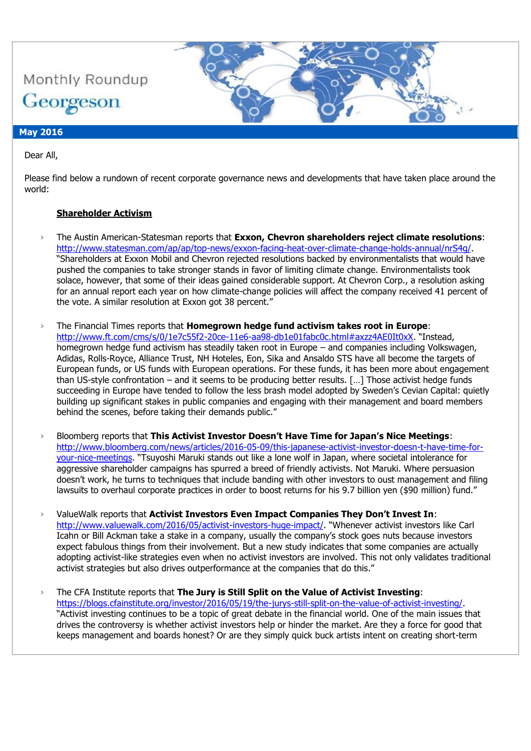

#### **May 2016**

Dear All,

Please find below a rundown of recent corporate governance news and developments that have taken place around the world:

### **Shareholder Activism**

- › The Austin American-Statesman reports that **Exxon, Chevron shareholders reject climate resolutions**: [http://www.statesman.com/ap/ap/top-news/exxon-facing-heat-over-climate-change-holds-annual/nrS4g/.](http://www.statesman.com/ap/ap/top-news/exxon-facing-heat-over-climate-change-holds-annual/nrS4g/) "Shareholders at Exxon Mobil and Chevron rejected resolutions backed by environmentalists that would have pushed the companies to take stronger stands in favor of limiting climate change. Environmentalists took solace, however, that some of their ideas gained considerable support. At Chevron Corp., a resolution asking for an annual report each year on how climate-change policies will affect the company received 41 percent of the vote. A similar resolution at Exxon got 38 percent."
- › The Financial Times reports that **Homegrown hedge fund activism takes root in Europe**: <http://www.ft.com/cms/s/0/1e7c55f2-20ce-11e6-aa98-db1e01fabc0c.html#axzz4AE0It0xX>. "Instead, homegrown hedge fund activism has steadily taken root in Europe – and companies including Volkswagen, Adidas, Rolls-Royce, Alliance Trust, NH Hoteles, Eon, Sika and Ansaldo STS have all become the targets of European funds, or US funds with European operations. For these funds, it has been more about engagement than US-style confrontation – and it seems to be producing better results. […] Those activist hedge funds succeeding in Europe have tended to follow the less brash model adopted by Sweden's Cevian Capital: quietly building up significant stakes in public companies and engaging with their management and board members behind the scenes, before taking their demands public."
- › Bloomberg reports that **This Activist Investor Doesn't Have Time for Japan's Nice Meetings**: [http://www.bloomberg.com/news/articles/2016-05-09/this-japanese-activist-investor-doesn-t-have-time-for](http://www.bloomberg.com/news/articles/2016-05-09/this-japanese-activist-investor-doesn-t-have-time-for-your-nice-meetings)[your-nice-meetings](http://www.bloomberg.com/news/articles/2016-05-09/this-japanese-activist-investor-doesn-t-have-time-for-your-nice-meetings). "Tsuyoshi Maruki stands out like a lone wolf in Japan, where societal intolerance for aggressive shareholder campaigns has spurred a breed of friendly activists. Not Maruki. Where persuasion doesn't work, he turns to techniques that include banding with other investors to oust management and filing lawsuits to overhaul corporate practices in order to boost returns for his 9.7 billion yen (\$90 million) fund."
- › ValueWalk reports that **Activist Investors Even Impact Companies They Don't Invest In**: <http://www.valuewalk.com/2016/05/activist-investors-huge-impact/>. "Whenever activist investors like Carl Icahn or Bill Ackman take a stake in a company, usually the company's stock goes nuts because investors expect fabulous things from their involvement. But a new study indicates that some companies are actually adopting activist-like strategies even when no activist investors are involved. This not only validates traditional activist strategies but also drives outperformance at the companies that do this."
- › The CFA Institute reports that **The Jury is Still Split on the Value of Activist Investing**: [https://blogs.cfainstitute.org/investor/2016/05/19/the-jurys-still-split-on-the-value-of-activist-investing/.](https://blogs.cfainstitute.org/investor/2016/05/19/the-jurys-still-split-on-the-value-of-activist-investing/) "Activist investing continues to be a topic of great debate in the financial world. One of the main issues that drives the controversy is whether activist investors help or hinder the market. Are they a force for good that keeps management and boards honest? Or are they simply quick buck artists intent on creating short-term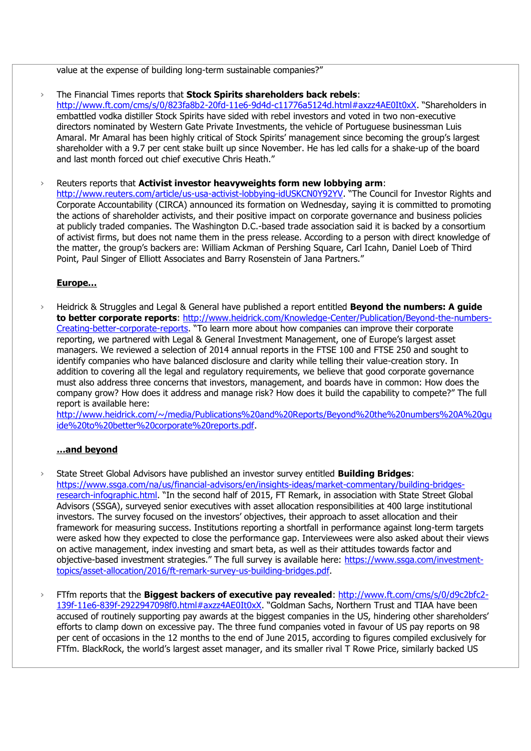value at the expense of building long-term sustainable companies?"

› The Financial Times reports that **Stock Spirits shareholders back rebels**: <http://www.ft.com/cms/s/0/823fa8b2-20fd-11e6-9d4d-c11776a5124d.html#axzz4AE0It0xX>. "Shareholders in embattled vodka distiller Stock Spirits have sided with rebel investors and voted in two non-executive directors nominated by Western Gate Private Investments, the vehicle of Portuguese businessman Luis Amaral. Mr Amaral has been highly critical of Stock Spirits' management since becoming the group's largest shareholder with a 9.7 per cent stake built up since November. He has led calls for a shake-up of the board and last month forced out chief executive Chris Heath."

› Reuters reports that **Activist investor heavyweights form new lobbying arm**: <http://www.reuters.com/article/us-usa-activist-lobbying-idUSKCN0Y92YV>. "The Council for Investor Rights and Corporate Accountability (CIRCA) announced its formation on Wednesday, saying it is committed to promoting the actions of shareholder activists, and their positive impact on corporate governance and business policies at publicly traded companies. The Washington D.C.-based trade association said it is backed by a consortium of activist firms, but does not name them in the press release. According to a person with direct knowledge of the matter, the group's backers are: William Ackman of Pershing Square, Carl Icahn, Daniel Loeb of Third Point, Paul Singer of Elliott Associates and Barry Rosenstein of Jana Partners."

#### **Europe…**

› Heidrick & Struggles and Legal & General have published a report entitled **Beyond the numbers: A guide to better corporate reports**: [http://www.heidrick.com/Knowledge-Center/Publication/Beyond-the-numbers-](http://www.heidrick.com/Knowledge-Center/Publication/Beyond-the-numbers-Creating-better-corporate-reports)[Creating-better-corporate-reports](http://www.heidrick.com/Knowledge-Center/Publication/Beyond-the-numbers-Creating-better-corporate-reports). "To learn more about how companies can improve their corporate reporting, we partnered with Legal & General Investment Management, one of Europe's largest asset managers. We reviewed a selection of 2014 annual reports in the FTSE 100 and FTSE 250 and sought to identify companies who have balanced disclosure and clarity while telling their value-creation story. In addition to covering all the legal and regulatory requirements, we believe that good corporate governance must also address three concerns that investors, management, and boards have in common: How does the company grow? How does it address and manage risk? How does it build the capability to compete?" The full report is available here:

[http://www.heidrick.com/~/media/Publications%20and%20Reports/Beyond%20the%20numbers%20A%20gu](http://www.heidrick.com/~/media/Publications%20and%20Reports/Beyond%20the%20numbers%20A%20guide%20to%20better%20corporate%20reports.pdf) [ide%20to%20better%20corporate%20reports.pdf.](http://www.heidrick.com/~/media/Publications%20and%20Reports/Beyond%20the%20numbers%20A%20guide%20to%20better%20corporate%20reports.pdf)

#### **…and beyond**

- › State Street Global Advisors have published an investor survey entitled **Building Bridges**: [https://www.ssga.com/na/us/financial-advisors/en/insights-ideas/market-commentary/building-bridges](https://www.ssga.com/na/us/financial-advisors/en/insights-ideas/market-commentary/building-bridges-research-infographic.html)[research-infographic.html](https://www.ssga.com/na/us/financial-advisors/en/insights-ideas/market-commentary/building-bridges-research-infographic.html). "In the second half of 2015, FT Remark, in association with State Street Global Advisors (SSGA), surveyed senior executives with asset allocation responsibilities at 400 large institutional investors. The survey focused on the investors' objectives, their approach to asset allocation and their framework for measuring success. Institutions reporting a shortfall in performance against long-term targets were asked how they expected to close the performance gap. Interviewees were also asked about their views on active management, index investing and smart beta, as well as their attitudes towards factor and objective-based investment strategies." The full survey is available here: [https://www.ssga.com/investment](https://www.ssga.com/investment-topics/asset-allocation/2016/ft-remark-survey-us-building-bridges.pdf)[topics/asset-allocation/2016/ft-remark-survey-us-building-bridges.pdf.](https://www.ssga.com/investment-topics/asset-allocation/2016/ft-remark-survey-us-building-bridges.pdf)
- › FTfm reports that the **Biggest backers of executive pay revealed**: [http://www.ft.com/cms/s/0/d9c2bfc2-](http://www.ft.com/cms/s/0/d9c2bfc2-139f-11e6-839f-2922947098f0.html#axzz4AE0It0xX) [139f-11e6-839f-2922947098f0.html#axzz4AE0It0xX](http://www.ft.com/cms/s/0/d9c2bfc2-139f-11e6-839f-2922947098f0.html#axzz4AE0It0xX). "Goldman Sachs, Northern Trust and TIAA have been accused of routinely supporting pay awards at the biggest companies in the US, hindering other shareholders' efforts to clamp down on excessive pay. The three fund companies voted in favour of US pay reports on 98 per cent of occasions in the 12 months to the end of June 2015, according to figures compiled exclusively for FTfm. BlackRock, the world's largest asset manager, and its smaller rival T Rowe Price, similarly backed US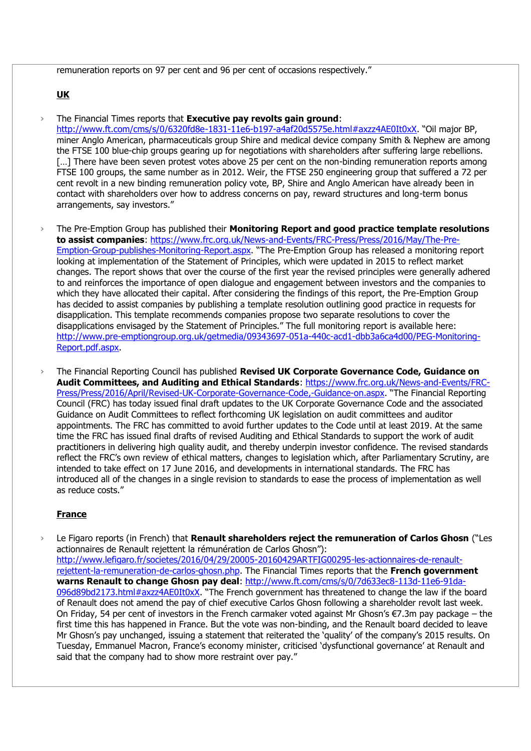remuneration reports on 97 per cent and 96 per cent of occasions respectively."

### **UK**

› The Financial Times reports that **Executive pay revolts gain ground**: <http://www.ft.com/cms/s/0/6320fd8e-1831-11e6-b197-a4af20d5575e.html#axzz4AE0It0xX>. "Oil major BP, miner Anglo American, pharmaceuticals group Shire and medical device company Smith & Nephew are among the FTSE 100 blue-chip groups gearing up for negotiations with shareholders after suffering large rebellions. [...] There have been seven protest votes above 25 per cent on the non-binding remuneration reports among FTSE 100 groups, the same number as in 2012. Weir, the FTSE 250 engineering group that suffered a 72 per cent revolt in a new binding remuneration policy vote, BP, Shire and Anglo American have already been in contact with shareholders over how to address concerns on pay, reward structures and long-term bonus arrangements, say investors."

› The Pre-Emption Group has published their **Monitoring Report and good practice template resolutions to assist companies**: [https://www.frc.org.uk/News-and-Events/FRC-Press/Press/2016/May/The-Pre-](https://www.frc.org.uk/News-and-Events/FRC-Press/Press/2016/May/The-Pre-Emption-Group-publishes-Monitoring-Report.aspx)[Emption-Group-publishes-Monitoring-Report.aspx](https://www.frc.org.uk/News-and-Events/FRC-Press/Press/2016/May/The-Pre-Emption-Group-publishes-Monitoring-Report.aspx). "The Pre-Emption Group has released a monitoring report looking at implementation of the Statement of Principles, which were updated in 2015 to reflect market changes. The report shows that over the course of the first year the revised principles were generally adhered to and reinforces the importance of open dialogue and engagement between investors and the companies to which they have allocated their capital. After considering the findings of this report, the Pre-Emption Group has decided to assist companies by publishing a template resolution outlining good practice in requests for disapplication. This template recommends companies propose two separate resolutions to cover the disapplications envisaged by the Statement of Principles." The full monitoring report is available here: [http://www.pre-emptiongroup.org.uk/getmedia/09343697-051a-440c-acd1-dbb3a6ca4d00/PEG-Monitoring-](http://www.pre-emptiongroup.org.uk/getmedia/09343697-051a-440c-acd1-dbb3a6ca4d00/PEG-Monitoring-Report.pdf.aspx)[Report.pdf.aspx.](http://www.pre-emptiongroup.org.uk/getmedia/09343697-051a-440c-acd1-dbb3a6ca4d00/PEG-Monitoring-Report.pdf.aspx)

› The Financial Reporting Council has published **Revised UK Corporate Governance Code, Guidance on Audit Committees, and Auditing and Ethical Standards**: [https://www.frc.org.uk/News-and-Events/FRC-](https://www.frc.org.uk/News-and-Events/FRC-Press/Press/2016/April/Revised-UK-Corporate-Governance-Code,-Guidance-on.aspx)[Press/Press/2016/April/Revised-UK-Corporate-Governance-Code,-Guidance-on.aspx](https://www.frc.org.uk/News-and-Events/FRC-Press/Press/2016/April/Revised-UK-Corporate-Governance-Code,-Guidance-on.aspx). "The Financial Reporting Council (FRC) has today issued final draft updates to the UK Corporate Governance Code and the associated Guidance on Audit Committees to reflect forthcoming UK legislation on audit committees and auditor appointments. The FRC has committed to avoid further updates to the Code until at least 2019. At the same time the FRC has issued final drafts of revised Auditing and Ethical Standards to support the work of audit practitioners in delivering high quality audit, and thereby underpin investor confidence. The revised standards reflect the FRC's own review of ethical matters, changes to legislation which, after Parliamentary Scrutiny, are intended to take effect on 17 June 2016, and developments in international standards. The FRC has introduced all of the changes in a single revision to standards to ease the process of implementation as well as reduce costs."

# **France**

› Le Figaro reports (in French) that **Renault shareholders reject the remuneration of Carlos Ghosn** ("Les actionnaires de Renault rejettent la rémunération de Carlos Ghosn"): [http://www.lefigaro.fr/societes/2016/04/29/20005-20160429ARTFIG00295-les-actionnaires-de-renault](http://www.lefigaro.fr/societes/2016/04/29/20005-20160429ARTFIG00295-les-actionnaires-de-renault-rejettent-la-remuneration-de-carlos-ghosn.php)[rejettent-la-remuneration-de-carlos-ghosn.php.](http://www.lefigaro.fr/societes/2016/04/29/20005-20160429ARTFIG00295-les-actionnaires-de-renault-rejettent-la-remuneration-de-carlos-ghosn.php) The Financial Times reports that the **French government warns Renault to change Ghosn pay deal**: [http://www.ft.com/cms/s/0/7d633ec8-113d-11e6-91da-](http://www.ft.com/cms/s/0/7d633ec8-113d-11e6-91da-096d89bd2173.html#axzz4AE0It0xX)[096d89bd2173.html#axzz4AE0It0xX](http://www.ft.com/cms/s/0/7d633ec8-113d-11e6-91da-096d89bd2173.html#axzz4AE0It0xX). "The French government has threatened to change the law if the board of Renault does not amend the pay of chief executive Carlos Ghosn following a shareholder revolt last week. On Friday, 54 per cent of investors in the French carmaker voted against Mr Ghosn's €7.3m pay package – the first time this has happened in France. But the vote was non-binding, and the Renault board decided to leave Mr Ghosn's pay unchanged, issuing a statement that reiterated the 'quality' of the company's 2015 results. On Tuesday, Emmanuel Macron, France's economy minister, criticised 'dysfunctional governance' at Renault and said that the company had to show more restraint over pay."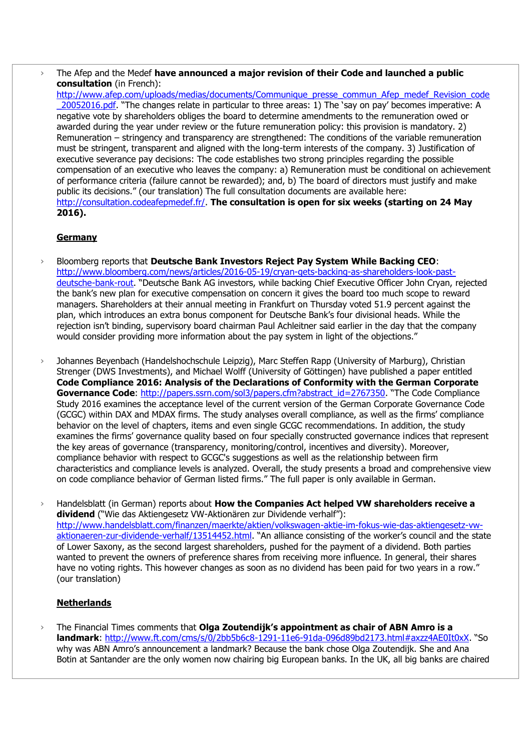› The Afep and the Medef **have announced a major revision of their Code and launched a public consultation** (in French):

[http://www.afep.com/uploads/medias/documents/Communique\\_presse\\_commun\\_Afep\\_medef\\_Revision\\_code](http://www.afep.com/uploads/medias/documents/Communique_presse_commun_Afep_medef_Revision_code_20052016.pdf) [\\_20052016.pdf](http://www.afep.com/uploads/medias/documents/Communique_presse_commun_Afep_medef_Revision_code_20052016.pdf). "The changes relate in particular to three areas: 1) The 'say on pay' becomes imperative: A negative vote by shareholders obliges the board to determine amendments to the remuneration owed or awarded during the year under review or the future remuneration policy: this provision is mandatory. 2) Remuneration – stringency and transparency are strengthened: The conditions of the variable remuneration must be stringent, transparent and aligned with the long-term interests of the company. 3) Justification of executive severance pay decisions: The code establishes two strong principles regarding the possible compensation of an executive who leaves the company: a) Remuneration must be conditional on achievement of performance criteria (failure cannot be rewarded); and, b) The board of directors must justify and make public its decisions." (our translation) The full consultation documents are available here: [http://consultation.codeafepmedef.fr/.](http://consultation.codeafepmedef.fr/) **The consultation is open for six weeks (starting on 24 May 2016).**

# **Germany**

- › Bloomberg reports that **Deutsche Bank Investors Reject Pay System While Backing CEO**: [http://www.bloomberg.com/news/articles/2016-05-19/cryan-gets-backing-as-shareholders-look-past](http://www.bloomberg.com/news/articles/2016-05-19/cryan-gets-backing-as-shareholders-look-past-deutsche-bank-rout)[deutsche-bank-rout](http://www.bloomberg.com/news/articles/2016-05-19/cryan-gets-backing-as-shareholders-look-past-deutsche-bank-rout). "Deutsche Bank AG investors, while backing Chief Executive Officer John Cryan, rejected the bank's new plan for executive compensation on concern it gives the board too much scope to reward managers. Shareholders at their annual meeting in Frankfurt on Thursday voted 51.9 percent against the plan, which introduces an extra bonus component for Deutsche Bank's four divisional heads. While the rejection isn't binding, supervisory board chairman Paul Achleitner said earlier in the day that the company would consider providing more information about the pay system in light of the objections."
- Johannes Beyenbach (Handelshochschule Leipzig), Marc Steffen Rapp (University of Marburg), Christian Strenger (DWS Investments), and Michael Wolff (University of Göttingen) have published a paper entitled **Code Compliance 2016: Analysis of the Declarations of Conformity with the German Corporate**  Governance Code: [http://papers.ssrn.com/sol3/papers.cfm?abstract\\_id=2767350](http://papers.ssrn.com/sol3/papers.cfm?abstract_id=2767350). "The Code Compliance Study 2016 examines the acceptance level of the current version of the German Corporate Governance Code (GCGC) within DAX and MDAX firms. The study analyses overall compliance, as well as the firms' compliance behavior on the level of chapters, items and even single GCGC recommendations. In addition, the study examines the firms' governance quality based on four specially constructed governance indices that represent the key areas of governance (transparency, monitoring/control, incentives and diversity). Moreover, compliance behavior with respect to GCGC's suggestions as well as the relationship between firm characteristics and compliance levels is analyzed. Overall, the study presents a broad and comprehensive view on code compliance behavior of German listed firms." The full paper is only available in German.
- › Handelsblatt (in German) reports about **How the Companies Act helped VW shareholders receive a dividend** ("Wie das Aktiengesetz VW-Aktionären zur Dividende verhalf"): [http://www.handelsblatt.com/finanzen/maerkte/aktien/volkswagen-aktie-im-fokus-wie-das-aktiengesetz-vw](http://www.handelsblatt.com/finanzen/maerkte/aktien/volkswagen-aktie-im-fokus-wie-das-aktiengesetz-vw-aktionaeren-zur-dividende-verhalf/13514452.html)[aktionaeren-zur-dividende-verhalf/13514452.html](http://www.handelsblatt.com/finanzen/maerkte/aktien/volkswagen-aktie-im-fokus-wie-das-aktiengesetz-vw-aktionaeren-zur-dividende-verhalf/13514452.html). "An alliance consisting of the worker's council and the state of Lower Saxony, as the second largest shareholders, pushed for the payment of a dividend. Both parties wanted to prevent the owners of preference shares from receiving more influence. In general, their shares have no voting rights. This however changes as soon as no dividend has been paid for two years in a row." (our translation)

# **Netherlands**

› The Financial Times comments that **Olga Zoutendijk's appointment as chair of ABN Amro is a landmark**:<http://www.ft.com/cms/s/0/2bb5b6c8-1291-11e6-91da-096d89bd2173.html#axzz4AE0It0xX>. "So why was ABN Amro's announcement a landmark? Because the bank chose Olga Zoutendijk. She and Ana Botin at Santander are the only women now chairing big European banks. In the UK, all big banks are chaired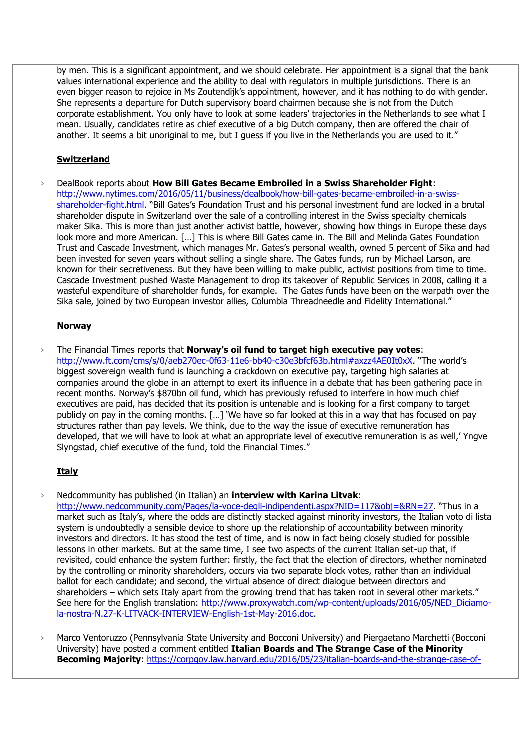by men. This is a significant appointment, and we should celebrate. Her appointment is a signal that the bank values international experience and the ability to deal with regulators in multiple jurisdictions. There is an even bigger reason to rejoice in Ms Zoutendijk's appointment, however, and it has nothing to do with gender. She represents a departure for Dutch supervisory board chairmen because she is not from the Dutch corporate establishment. You only have to look at some leaders' trajectories in the Netherlands to see what I mean. Usually, candidates retire as chief executive of a big Dutch company, then are offered the chair of another. It seems a bit unoriginal to me, but I guess if you live in the Netherlands you are used to it."

# **Switzerland**

› DealBook reports about **How Bill Gates Became Embroiled in a Swiss Shareholder Fight**: [http://www.nytimes.com/2016/05/11/business/dealbook/how-bill-gates-became-embroiled-in-a-swiss](http://www.nytimes.com/2016/05/11/business/dealbook/how-bill-gates-became-embroiled-in-a-swiss-shareholder-fight.html)[shareholder-fight.html](http://www.nytimes.com/2016/05/11/business/dealbook/how-bill-gates-became-embroiled-in-a-swiss-shareholder-fight.html). "Bill Gates's Foundation Trust and his personal investment fund are locked in a brutal shareholder dispute in Switzerland over the sale of a controlling interest in the Swiss specialty chemicals maker Sika. This is more than just another activist battle, however, showing how things in Europe these days look more and more American. […] This is where Bill Gates came in. The Bill and Melinda Gates Foundation Trust and Cascade Investment, which manages Mr. Gates's personal wealth, owned 5 percent of Sika and had been invested for seven years without selling a single share. The Gates funds, run by Michael Larson, are known for their secretiveness. But they have been willing to make public, activist positions from time to time. Cascade Investment pushed Waste Management to drop its takeover of Republic Services in 2008, calling it a wasteful expenditure of shareholder funds, for example. The Gates funds have been on the warpath over the Sika sale, joined by two European investor allies, Columbia Threadneedle and Fidelity International."

#### **Norway**

› The Financial Times reports that **Norway's oil fund to target high executive pay votes**: <http://www.ft.com/cms/s/0/aeb270ec-0f63-11e6-bb40-c30e3bfcf63b.html#axzz4AE0It0xX>. "The world's biggest sovereign wealth fund is launching a crackdown on executive pay, targeting high salaries at companies around the globe in an attempt to exert its influence in a debate that has been gathering pace in recent months. Norway's \$870bn oil fund, which has previously refused to interfere in how much chief executives are paid, has decided that its position is untenable and is looking for a first company to target publicly on pay in the coming months. […] 'We have so far looked at this in a way that has focused on pay structures rather than pay levels. We think, due to the way the issue of executive remuneration has developed, that we will have to look at what an appropriate level of executive remuneration is as well,' Yngve Slyngstad, chief executive of the fund, told the Financial Times."

#### **Italy**

› Nedcommunity has published (in Italian) an **interview with Karina Litvak**:

<http://www.nedcommunity.com/Pages/la-voce-degli-indipendenti.aspx?NID=117&obj=&RN=27>. "Thus in a market such as Italy's, where the odds are distinctly stacked against minority investors, the Italian voto di lista system is undoubtedly a sensible device to shore up the relationship of accountability between minority investors and directors. It has stood the test of time, and is now in fact being closely studied for possible lessons in other markets. But at the same time, I see two aspects of the current Italian set-up that, if revisited, could enhance the system further: firstly, the fact that the election of directors, whether nominated by the controlling or minority shareholders, occurs via two separate block votes, rather than an individual ballot for each candidate; and second, the virtual absence of direct dialogue between directors and shareholders – which sets Italy apart from the growing trend that has taken root in several other markets." See here for the English translation: [http://www.proxywatch.com/wp-content/uploads/2016/05/NED\\_Diciamo](http://www.proxywatch.com/wp-content/uploads/2016/05/NED_Diciamo-la-nostra-N.27-K-LITVACK-INTERVIEW-English-1st-May-2016.doc)[la-nostra-N.27-K-LITVACK-INTERVIEW-English-1st-May-2016.doc.](http://www.proxywatch.com/wp-content/uploads/2016/05/NED_Diciamo-la-nostra-N.27-K-LITVACK-INTERVIEW-English-1st-May-2016.doc)

› Marco Ventoruzzo (Pennsylvania State University and Bocconi University) and Piergaetano Marchetti (Bocconi University) have posted a comment entitled **Italian Boards and The Strange Case of the Minority Becoming Majority**: [https://corpgov.law.harvard.edu/2016/05/23/italian-boards-and-the-strange-case-of-](https://corpgov.law.harvard.edu/2016/05/23/italian-boards-and-the-strange-case-of-the-minority-becoming-majority/)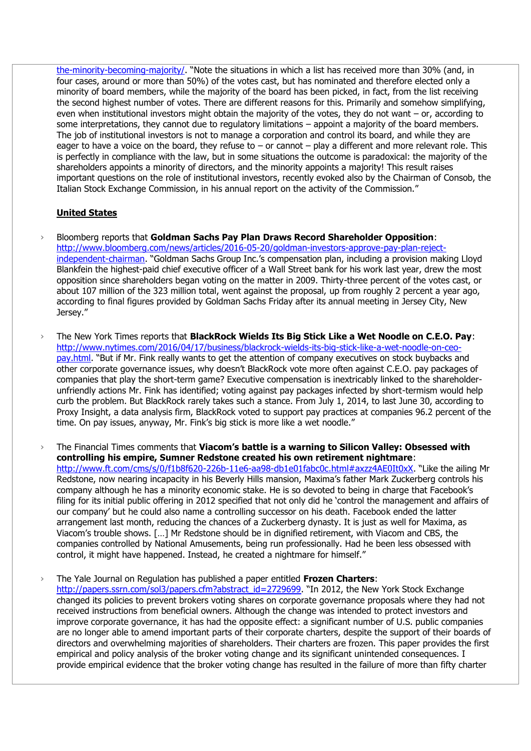[the-minority-becoming-majority/](https://corpgov.law.harvard.edu/2016/05/23/italian-boards-and-the-strange-case-of-the-minority-becoming-majority/). "Note the situations in which a list has received more than 30% (and, in four cases, around or more than 50%) of the votes cast, but has nominated and therefore elected only a minority of board members, while the majority of the board has been picked, in fact, from the list receiving the second highest number of votes. There are different reasons for this. Primarily and somehow simplifying, even when institutional investors might obtain the majority of the votes, they do not want – or, according to some interpretations, they cannot due to regulatory limitations – appoint a majority of the board members. The job of institutional investors is not to manage a corporation and control its board, and while they are eager to have a voice on the board, they refuse to – or cannot – play a different and more relevant role. This is perfectly in compliance with the law, but in some situations the outcome is paradoxical: the majority of the shareholders appoints a minority of directors, and the minority appoints a majority! This result raises important questions on the role of institutional investors, recently evoked also by the Chairman of Consob, the Italian Stock Exchange Commission, in his annual report on the activity of the Commission."

#### **United States**

- › Bloomberg reports that **Goldman Sachs Pay Plan Draws Record Shareholder Opposition**: [http://www.bloomberg.com/news/articles/2016-05-20/goldman-investors-approve-pay-plan-reject](http://www.bloomberg.com/news/articles/2016-05-20/goldman-investors-approve-pay-plan-reject-independent-chairman)[independent-chairman](http://www.bloomberg.com/news/articles/2016-05-20/goldman-investors-approve-pay-plan-reject-independent-chairman). "Goldman Sachs Group Inc.'s compensation plan, including a provision making Lloyd Blankfein the highest-paid chief executive officer of a Wall Street bank for his work last year, drew the most opposition since shareholders began voting on the matter in 2009. Thirty-three percent of the votes cast, or about 107 million of the 323 million total, went against the proposal, up from roughly 2 percent a year ago, according to final figures provided by Goldman Sachs Friday after its annual meeting in Jersey City, New Jersey."
- › The New York Times reports that **BlackRock Wields Its Big Stick Like a Wet Noodle on C.E.O. Pay**: [http://www.nytimes.com/2016/04/17/business/blackrock-wields-its-big-stick-like-a-wet-noodle-on-ceo](http://www.nytimes.com/2016/04/17/business/blackrock-wields-its-big-stick-like-a-wet-noodle-on-ceo-pay.html)[pay.html](http://www.nytimes.com/2016/04/17/business/blackrock-wields-its-big-stick-like-a-wet-noodle-on-ceo-pay.html). "But if Mr. Fink really wants to get the attention of company executives on stock buybacks and other corporate governance issues, why doesn't BlackRock vote more often against C.E.O. pay packages of companies that play the short-term game? Executive compensation is inextricably linked to the shareholderunfriendly actions Mr. Fink has identified; voting against pay packages infected by short-termism would help curb the problem. But BlackRock rarely takes such a stance. From July 1, 2014, to last June 30, according to Proxy Insight, a data analysis firm, BlackRock voted to support pay practices at companies 96.2 percent of the time. On pay issues, anyway, Mr. Fink's big stick is more like a wet noodle."
- › The Financial Times comments that **Viacom's battle is a warning to Silicon Valley: Obsessed with controlling his empire, Sumner Redstone created his own retirement nightmare**: <http://www.ft.com/cms/s/0/f1b8f620-226b-11e6-aa98-db1e01fabc0c.html#axzz4AE0It0xX>. "Like the ailing Mr Redstone, now nearing incapacity in his Beverly Hills mansion, Maxima's father Mark Zuckerberg controls his company although he has a minority economic stake. He is so devoted to being in charge that Facebook's filing for its initial public offering in 2012 specified that not only did he 'control the management and affairs of our company' but he could also name a controlling successor on his death. Facebook ended the latter arrangement last month, reducing the chances of a Zuckerberg dynasty. It is just as well for Maxima, as Viacom's trouble shows. […] Mr Redstone should be in dignified retirement, with Viacom and CBS, the companies controlled by National Amusements, being run professionally. Had he been less obsessed with control, it might have happened. Instead, he created a nightmare for himself."

› The Yale Journal on Regulation has published a paper entitled **Frozen Charters**: [http://papers.ssrn.com/sol3/papers.cfm?abstract\\_id=2729699](http://papers.ssrn.com/sol3/papers.cfm?abstract_id=2729699). "In 2012, the New York Stock Exchange changed its policies to prevent brokers voting shares on corporate governance proposals where they had not received instructions from beneficial owners. Although the change was intended to protect investors and improve corporate governance, it has had the opposite effect: a significant number of U.S. public companies are no longer able to amend important parts of their corporate charters, despite the support of their boards of directors and overwhelming majorities of shareholders. Their charters are frozen. This paper provides the first empirical and policy analysis of the broker voting change and its significant unintended consequences. I provide empirical evidence that the broker voting change has resulted in the failure of more than fifty charter